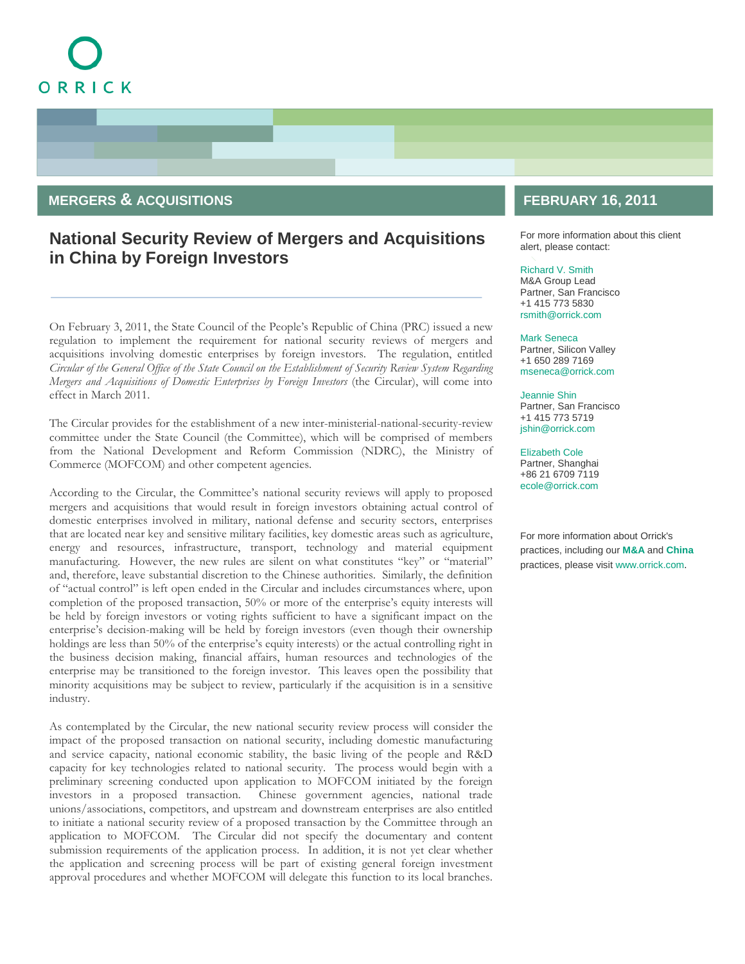# ORRICK

### **MERGERS & ACQUISITIONS**

# **National Security Review of Mergers and Acquisitions in China by Foreign Investors**

On February 3, 2011, the State Council of the People's Republic of China (PRC) issued a new regulation to implement the requirement for national security reviews of mergers and acquisitions involving domestic enterprises by foreign investors. The regulation, entitled *Circular of the General Office of the State Council on the Establishment of Security Review System Regarding Mergers and Acquisitions of Domestic Enterprises by Foreign Investors* (the Circular), will come into effect in March 2011.

The Circular provides for the establishment of a new inter-ministerial-national-security-review committee under the State Council (the Committee), which will be comprised of members from the National Development and Reform Commission (NDRC), the Ministry of Commerce (MOFCOM) and other competent agencies.

According to the Circular, the Committee's national security reviews will apply to proposed mergers and acquisitions that would result in foreign investors obtaining actual control of domestic enterprises involved in military, national defense and security sectors, enterprises that are located near key and sensitive military facilities, key domestic areas such as agriculture, energy and resources, infrastructure, transport, technology and material equipment manufacturing. However, the new rules are silent on what constitutes "key" or "material" and, therefore, leave substantial discretion to the Chinese authorities. Similarly, the definition of "actual control" is left open ended in the Circular and includes circumstances where, upon completion of the proposed transaction, 50% or more of the enterprise's equity interests will be held by foreign investors or voting rights sufficient to have a significant impact on the enterprise's decision-making will be held by foreign investors (even though their ownership holdings are less than 50% of the enterprise's equity interests) or the actual controlling right in the business decision making, financial affairs, human resources and technologies of the enterprise may be transitioned to the foreign investor. This leaves open the possibility that minority acquisitions may be subject to review, particularly if the acquisition is in a sensitive industry.

As contemplated by the Circular, the new national security review process will consider the impact of the proposed transaction on national security, including domestic manufacturing and service capacity, national economic stability, the basic living of the people and R&D capacity for key technologies related to national security. The process would begin with a preliminary screening conducted upon application to MOFCOM initiated by the foreign investors in a proposed transaction. Chinese government agencies, national trade unions/associations, competitors, and upstream and downstream enterprises are also entitled to initiate a national security review of a proposed transaction by the Committee through an application to MOFCOM. The Circular did not specify the documentary and content submission requirements of the application process. In addition, it is not yet clear whether the application and screening process will be part of existing general foreign investment approval procedures and whether MOFCOM will delegate this function to its local branches.

## **FEBRUARY 16, 2011**

For more information about this client alert, please contact:

#### [Richard V. Smith](http://www.orrick.com/lawyers/Bio.asp?ID=3519)

M&A Group Lead Partner, San Francisco +1 415 773 5830 [rsmith@orrick.com](mailto:rsmith@orrick.com)

#### [Mark Seneca](http://www.orrick.com/lawyers/Bio.asp?ID=161314)

Partner, Silicon Valley +1 650 289 7169 [mseneca@orrick.com](mailto:mseneca@orrick.com)

#### [Jeannie Shin](http://www.orrick.com/lawyers/Bio.asp?ID=186907)

Partner, San Francisco +1 415 773 5719 [jshin@orrick.com](mailto:jshin@orrick.com)

#### [Elizabeth Cole](http://www.orrick.com/lawyers/Bio.asp?ID=202601)

Partner, Shanghai +86 21 6709 7119 [ecole@orrick.com](mailto:ecole@orrick.com)

For more information about Orrick's practices, including our **[M&A](http://www.orrick.com/practices/m_and_a/)** and **[China](http://www.orrick.com/practices/china/index.asp)** practices, please visit [www.orrick.com.](http://www.orrick.com/)